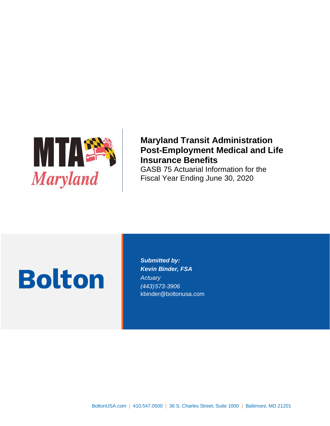

### **Maryland Transit Administration Post-Employment Medical and Life Insurance Benefits** GASB 75 Actuarial Information for the

Fiscal Year Ending June 30, 2020

# **Bolton**

*Submitted by: Kevin Binder, FSA Actuary (443)573-3906* kbinder@boltonusa.com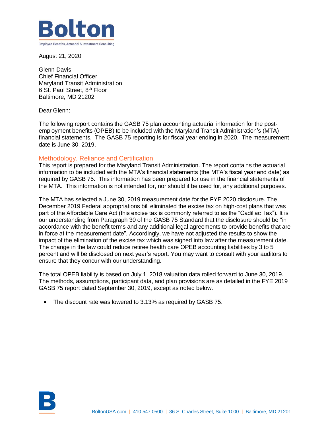

August 21, 2020

Glenn Davis Chief Financial Officer Maryland Transit Administration 6 St. Paul Street, 8th Floor Baltimore, MD 21202

Dear Glenn:

The following report contains the GASB 75 plan accounting actuarial information for the postemployment benefits (OPEB) to be included with the Maryland Transit Administration's (MTA) financial statements. The GASB 75 reporting is for fiscal year ending in 2020. The measurement date is June 30, 2019.

### Methodology, Reliance and Certification

This report is prepared for the Maryland Transit Administration. The report contains the actuarial information to be included with the MTA's financial statements (the MTA's fiscal year end date) as required by GASB 75. This information has been prepared for use in the financial statements of the MTA. This information is not intended for, nor should it be used for, any additional purposes.

The MTA has selected a June 30, 2019 measurement date for the FYE 2020 disclosure. The December 2019 Federal appropriations bill eliminated the excise tax on high-cost plans that was part of the Affordable Care Act (this excise tax is commonly referred to as the "Cadillac Tax"). It is our understanding from Paragraph 30 of the GASB 75 Standard that the disclosure should be "in accordance with the benefit terms and any additional legal agreements to provide benefits that are in force at the measurement date". Accordingly, we have not adjusted the results to show the impact of the elimination of the excise tax which was signed into law after the measurement date. The change in the law could reduce retiree health care OPEB accounting liabilities by 3 to 5 percent and will be disclosed on next year's report. You may want to consult with your auditors to ensure that they concur with our understanding.

The total OPEB liability is based on July 1, 2018 valuation data rolled forward to June 30, 2019. The methods, assumptions, participant data, and plan provisions are as detailed in the FYE 2019 GASB 75 report dated September 30, 2019, except as noted below.

• The discount rate was lowered to 3.13% as required by GASB 75.

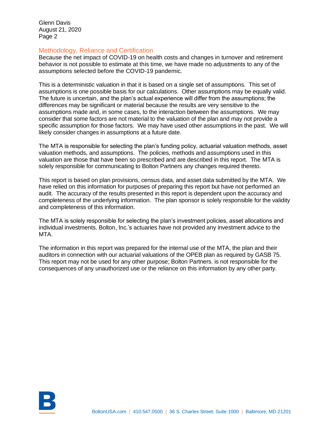Glenn Davis August 21, 2020 Page 2

#### Methodology, Reliance and Certification

Because the net impact of COVID-19 on health costs and changes in turnover and retirement behavior is not possible to estimate at this time, we have made no adjustments to any of the assumptions selected before the COVID-19 pandemic.

This is a deterministic valuation in that it is based on a single set of assumptions. This set of assumptions is one possible basis for our calculations. Other assumptions may be equally valid. The future is uncertain, and the plan's actual experience will differ from the assumptions; the differences may be significant or material because the results are very sensitive to the assumptions made and, in some cases, to the interaction between the assumptions. We may consider that some factors are not material to the valuation of the plan and may not provide a specific assumption for those factors. We may have used other assumptions in the past. We will likely consider changes in assumptions at a future date.

The MTA is responsible for selecting the plan's funding policy, actuarial valuation methods, asset valuation methods, and assumptions. The policies, methods and assumptions used in this valuation are those that have been so prescribed and are described in this report. The MTA is solely responsible for communicating to Bolton Partners any changes required thereto.

This report is based on plan provisions, census data, and asset data submitted by the MTA. We have relied on this information for purposes of preparing this report but have not performed an audit. The accuracy of the results presented in this report is dependent upon the accuracy and completeness of the underlying information. The plan sponsor is solely responsible for the validity and completeness of this information.

The MTA is solely responsible for selecting the plan's investment policies, asset allocations and individual investments. Bolton, Inc.'s actuaries have not provided any investment advice to the MTA.

The information in this report was prepared for the internal use of the MTA, the plan and their auditors in connection with our actuarial valuations of the OPEB plan as required by GASB 75. This report may not be used for any other purpose; Bolton Partners. is not responsible for the consequences of any unauthorized use or the reliance on this information by any other party.

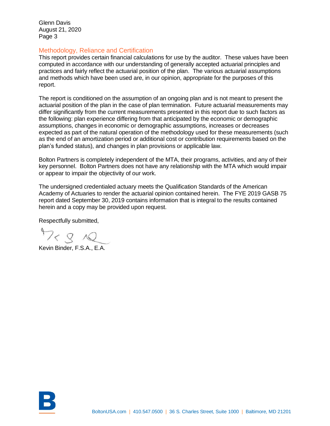Glenn Davis August 21, 2020 Page 3

#### Methodology, Reliance and Certification

This report provides certain financial calculations for use by the auditor. These values have been computed in accordance with our understanding of generally accepted actuarial principles and practices and fairly reflect the actuarial position of the plan. The various actuarial assumptions and methods which have been used are, in our opinion, appropriate for the purposes of this report.

The report is conditioned on the assumption of an ongoing plan and is not meant to present the actuarial position of the plan in the case of plan termination. Future actuarial measurements may differ significantly from the current measurements presented in this report due to such factors as the following: plan experience differing from that anticipated by the economic or demographic assumptions, changes in economic or demographic assumptions, increases or decreases expected as part of the natural operation of the methodology used for these measurements (such as the end of an amortization period or additional cost or contribution requirements based on the plan's funded status), and changes in plan provisions or applicable law.

Bolton Partners is completely independent of the MTA, their programs, activities, and any of their key personnel. Bolton Partners does not have any relationship with the MTA which would impair or appear to impair the objectivity of our work.

The undersigned credentialed actuary meets the Qualification Standards of the American Academy of Actuaries to render the actuarial opinion contained herein. The FYE 2019 GASB 75 report dated September 30, 2019 contains information that is integral to the results contained herein and a copy may be provided upon request.

Respectfully submitted,

 $72812$ 

Kevin Binder, F.S.A., E.A.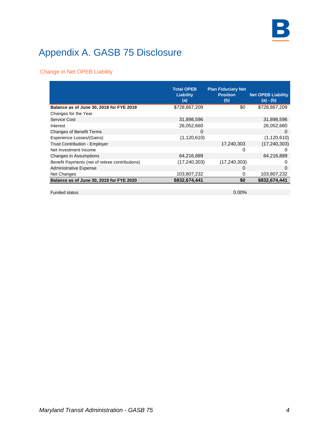

### Change in Net OPEB Liability

|                                                 | <b>Total OPEB</b><br><b>Liability</b><br>(a) | <b>Plan Fiduciary Net</b><br><b>Position</b><br>(b) | <b>Net OPEB Liability</b><br>(a) - (b) |
|-------------------------------------------------|----------------------------------------------|-----------------------------------------------------|----------------------------------------|
| Balance as of June 30, 2018 for FYE 2019        | \$728,867,209                                | \$0                                                 | \$728,867,209                          |
| Changes for the Year                            |                                              |                                                     |                                        |
| Service Cost                                    | 31,898,596                                   |                                                     | 31,898,596                             |
| Interest                                        | 26,052,660                                   |                                                     | 26,052,660                             |
| <b>Changes of Benefit Terms</b>                 | 0                                            |                                                     | 0                                      |
| Experience Losses/(Gains)                       | (1, 120, 610)                                |                                                     | (1, 120, 610)                          |
| <b>Trust Contribution - Employer</b>            |                                              | 17,240,303                                          | (17, 240, 303)                         |
| Net Investment Income                           |                                              | 0                                                   |                                        |
| <b>Changes in Assumptions</b>                   | 64,216,889                                   |                                                     | 64,216,889                             |
| Benefit Payments (net of retiree contributions) | (17, 240, 303)                               | (17, 240, 303)                                      | O                                      |
| <b>Administrative Expense</b>                   |                                              | 0                                                   | 0                                      |
| Net Changes                                     | 103,807,232                                  | 0                                                   | 103,807,232                            |
| Balance as of June 30, 2019 for FYE 2020        | \$832,674,441                                | \$0                                                 | \$832.674.441                          |

Funded status 0.00%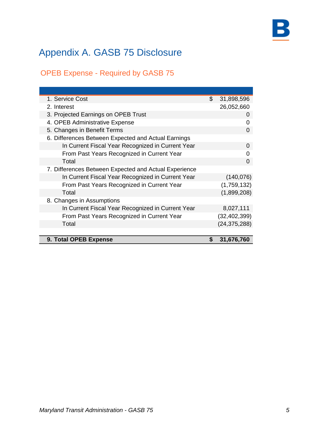### OPEB Expense - Required by GASB 75

| 1. Service Cost                                       | \$ | 31,898,596     |
|-------------------------------------------------------|----|----------------|
| 2. Interest                                           |    | 26,052,660     |
| 3. Projected Earnings on OPEB Trust                   |    | 0              |
| 4. OPEB Administrative Expense                        |    | 0              |
| 5. Changes in Benefit Terms                           |    | 0              |
| 6. Differences Between Expected and Actual Earnings   |    |                |
| In Current Fiscal Year Recognized in Current Year     |    | 0              |
| From Past Years Recognized in Current Year            |    | O              |
| Total                                                 |    | 0              |
| 7. Differences Between Expected and Actual Experience |    |                |
| In Current Fiscal Year Recognized in Current Year     |    | (140, 076)     |
| From Past Years Recognized in Current Year            |    | (1,759,132)    |
| Total                                                 |    | (1,899,208)    |
| 8. Changes in Assumptions                             |    |                |
| In Current Fiscal Year Recognized in Current Year     |    | 8,027,111      |
| From Past Years Recognized in Current Year            |    | (32, 402, 399) |
| Total                                                 |    | (24, 375, 288) |
|                                                       |    |                |
| 9. Total OPEB Expense                                 | S  | 31,676,760     |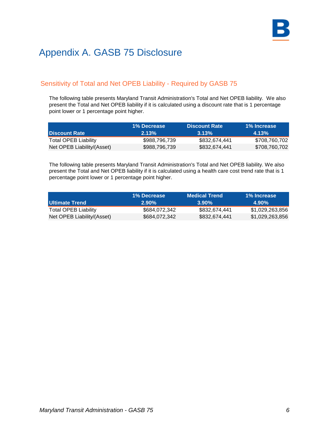### Sensitivity of Total and Net OPEB Liability - Required by GASB 75

The following table presents Maryland Transit Administration's Total and Net OPEB liability. We also present the Total and Net OPEB liability if it is calculated using a discount rate that is 1 percentage point lower or 1 percentage point higher.

|                            | 1% Decrease   | <b>Discount Rate</b> | 1% Increase   |
|----------------------------|---------------|----------------------|---------------|
| <b>I Discount Rate</b>     | 2.13%         | $3.13\%$             | 4.13%         |
| Total OPEB Liability       | \$988,796,739 | \$832.674.441        | \$708,760,702 |
| Net OPEB Liability/(Asset) | \$988,796,739 | \$832,674,441        | \$708,760,702 |

The following table presents Maryland Transit Administration's Total and Net OPEB liability. We also present the Total and Net OPEB liability if it is calculated using a health care cost trend rate that is 1 percentage point lower or 1 percentage point higher.

|                            | 1% Decrease   | Medical Trend | 1% Increase     |
|----------------------------|---------------|---------------|-----------------|
| I Ultimate Trend           | $2.90\%$      | $3.90\%$      | $4.90\%$        |
| Total OPEB Liability       | \$684.072.342 | \$832.674.441 | \$1.029.263.856 |
| Net OPEB Liability/(Asset) | \$684,072,342 | \$832.674.441 | \$1,029,263,856 |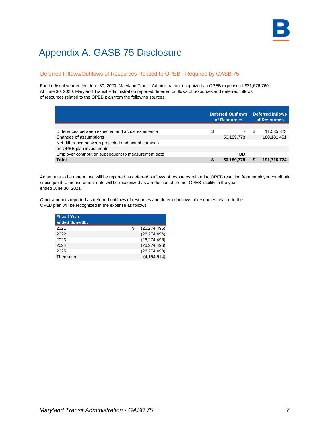### Deferred Inflows/Outflows of Resources Related to OPEB - Required by GASB 75

For the fiscal year ended June 30, 2020, Maryland Transit Administration recognized an OPEB expense of \$31,676,760. At June 30, 2020, Maryland Transit Administration reported deferred outflows of resources and deferred inflows of resources related to the OPEB plan from the following sources:

|                                                      | <b>Deferred Outflows</b><br>of Resources | <b>Deferred Inflows</b><br>of Resources |
|------------------------------------------------------|------------------------------------------|-----------------------------------------|
|                                                      |                                          |                                         |
| Differences between expected and actual experience   | \$<br>$\sim$                             | 11,535,323                              |
| Changes of assumptions                               | 56,189,778                               | 180, 181, 451                           |
| Net difference between projected and actual earnings |                                          |                                         |
| on OPEB plan investments                             |                                          |                                         |
| Employer contribution subsequent to measurement date | TBD                                      |                                         |
| <b>Total</b>                                         | 56,189,778                               | 191,716,774                             |

An amount to be determined will be reported as deferred outflows of resources related to OPEB resulting from employer contributic subsequent to measurement date will be recognized as a reduction of the net OPEB liability in the year ended June 30, 2021.

Other amounts reported as deferred outflows of resources and deferred inflows of resources related to the OPEB plan will be recognized in the expense as follows:

| <b>Fiscal Year</b> |                      |
|--------------------|----------------------|
| ended June 30:     |                      |
| 2021               | \$<br>(26, 274, 496) |
| 2022               | (26, 274, 496)       |
| 2023               | (26, 274, 496)       |
| 2024               | (26, 274, 496)       |
| 2025               | (26, 274, 498)       |
| Thereafter         | (4, 154, 514)        |
|                    |                      |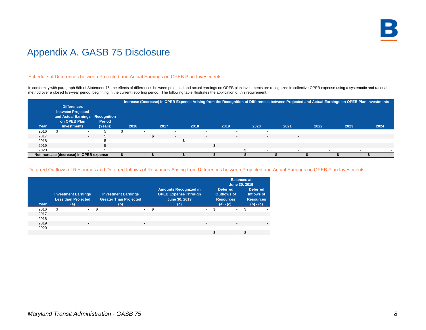

#### Schedule of Differences between Projected and Actual Earnings on OPEB Plan Investments

In conformity with paragraph 86b of Statement 75, the effects of differences between projected and actual earnings on OPEB plan investments are recognized in collective OPEB expense using a systematic and rational method over a closed five-year period, beginning in the current reporting period. The following table illustrates the application of this requirement.

|      |                                         |         |                          |      |                          |      |                          |      |                          | Increase (Decrease) in OPEB Expense Arising from the Recognition of Differences between Projected and Actual Earnings on OPEB Plan Investments |      |        |      |        |      |                          |      |
|------|-----------------------------------------|---------|--------------------------|------|--------------------------|------|--------------------------|------|--------------------------|------------------------------------------------------------------------------------------------------------------------------------------------|------|--------|------|--------|------|--------------------------|------|
|      | <b>Differences</b>                      |         |                          |      |                          |      |                          |      |                          |                                                                                                                                                |      |        |      |        |      |                          |      |
|      | between Projected                       |         |                          |      |                          |      |                          |      |                          |                                                                                                                                                |      |        |      |        |      |                          |      |
|      | and Actual Earnings Recognition         |         |                          |      |                          |      |                          |      |                          |                                                                                                                                                |      |        |      |        |      |                          |      |
|      | on OPEB Plan                            | Period  |                          |      |                          |      |                          |      |                          |                                                                                                                                                |      |        |      |        |      |                          |      |
| Year | <b>Investments</b>                      | (Years) | 2016                     | 2017 |                          | 2018 |                          | 2019 |                          | 2020                                                                                                                                           | 2021 |        | 2022 |        | 2023 |                          | 2024 |
| 2016 | $\overline{\phantom{0}}$                |         | $\overline{\phantom{0}}$ |      | $\overline{\phantom{a}}$ |      | $\overline{\phantom{0}}$ |      | $\overline{\phantom{a}}$ |                                                                                                                                                |      |        |      |        |      |                          |      |
| 2017 | $\sim$                                  |         |                          |      | $\overline{\phantom{a}}$ |      | $\overline{\phantom{0}}$ |      | $\sim$                   | $\sim$                                                                                                                                         |      | $\sim$ |      |        |      |                          |      |
| 2018 | $\sim$                                  |         |                          |      |                          |      | $\sim$                   |      | $\overline{\phantom{a}}$ | $\sim$                                                                                                                                         |      | $\sim$ |      | . .    |      |                          |      |
| 2019 | $\overline{\phantom{0}}$                | h       |                          |      |                          |      |                          |      | $\sim$                   | $\sim$                                                                                                                                         |      | $\sim$ |      | $\sim$ |      | $\overline{\phantom{0}}$ |      |
| 2020 | $\overline{\phantom{a}}$                |         |                          |      |                          |      |                          |      |                          |                                                                                                                                                |      |        |      | $\sim$ |      | $\overline{\phantom{0}}$ |      |
|      | Net increase (decrease) in OPEB expense |         |                          |      | $\sim$                   |      | $\blacksquare$           |      | $\overline{\phantom{a}}$ | $\sim$                                                                                                                                         |      | $\sim$ |      | $\sim$ |      |                          |      |

#### Deferred Outflows of Resources and Deferred Inflows of Resources Arising from Differences between Projected and Actual Earnings on OPEB Plan Investments

|      |                                                                 |                                                                    |                          |                                                                                     |                |                                                                   | June 30, 2019            | <b>Balances at</b>                                               |                          |
|------|-----------------------------------------------------------------|--------------------------------------------------------------------|--------------------------|-------------------------------------------------------------------------------------|----------------|-------------------------------------------------------------------|--------------------------|------------------------------------------------------------------|--------------------------|
| Year | <b>Investment Earnings</b><br><b>Less than Projected</b><br>(a) | <b>Investment Earnings</b><br><b>Greater Than Projected</b><br>(b) |                          | <b>Amounts Recognized in</b><br><b>OPEB Expense Through</b><br>June 30, 2019<br>(c) |                | <b>Deferred</b><br>Outflows of<br><b>Resources</b><br>$(a) - (c)$ |                          | <b>Deferred</b><br>Inflows of<br><b>Resources</b><br>$(b) - (c)$ |                          |
| 2016 | \$<br>$\sim$                                                    | \$                                                                 | \$<br>. .                |                                                                                     | $\sim$         |                                                                   | $\sim$                   | \$                                                               | $\overline{\phantom{0}}$ |
| 2017 | $\overline{\phantom{0}}$                                        | $\overline{\phantom{0}}$                                           |                          |                                                                                     | $\blacksquare$ |                                                                   | $\blacksquare$           |                                                                  |                          |
| 2018 | $\overline{a}$                                                  | $\overline{\phantom{a}}$                                           |                          |                                                                                     | $\sim$         |                                                                   | $\overline{\phantom{0}}$ |                                                                  |                          |
| 2019 | $\blacksquare$                                                  |                                                                    | $\overline{\phantom{a}}$ |                                                                                     | $\sim$         |                                                                   | $\blacksquare$           |                                                                  | ٠                        |
| 2020 | -                                                               | $\overline{\phantom{a}}$                                           |                          |                                                                                     | $\blacksquare$ |                                                                   |                          |                                                                  |                          |
|      |                                                                 |                                                                    |                          |                                                                                     |                |                                                                   | $\overline{\phantom{a}}$ |                                                                  | ٠                        |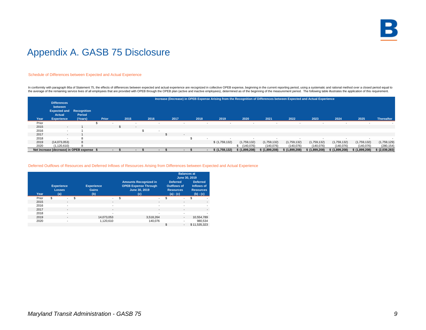

#### Schedule of Differences between Expected and Actual Experience

In conformity with paragraph 86a of Statement 75, the effects of differences between expected and actual experience are recognized in collective OPEB expense, beginning in the current reporting period, using a systematic a the average of the remaining service lives of all employees that are provided with OPEB through the OPEB plan (active and inactive employees), determined as of the beginning of the measurement period. The following table i

|       |                                            |         |          |      |                          |                          |                          | Increase (Decrease) in OPEB Expense Arising from the Recognition of Differences between Expected and Actual Experience |               |                          |                          |               |               |               |                |
|-------|--------------------------------------------|---------|----------|------|--------------------------|--------------------------|--------------------------|------------------------------------------------------------------------------------------------------------------------|---------------|--------------------------|--------------------------|---------------|---------------|---------------|----------------|
|       | <b>Differences</b>                         |         |          |      |                          |                          |                          |                                                                                                                        |               |                          |                          |               |               |               |                |
|       | between                                    |         |          |      |                          |                          |                          |                                                                                                                        |               |                          |                          |               |               |               |                |
|       | <b>Expected and Recognition</b>            |         |          |      |                          |                          |                          |                                                                                                                        |               |                          |                          |               |               |               |                |
|       | <b>Actual</b>                              | Period  |          |      |                          |                          |                          |                                                                                                                        |               |                          |                          |               |               |               |                |
| Year  | <b>Experience</b>                          | (Years) | Prior    | 2015 | 2016                     | 2017                     | 2018                     | 2019                                                                                                                   | 2020          | 2021                     | 2022                     | 2023          | 2024          | 2025          | Thereafter     |
| Prior |                                            |         | <b>.</b> |      | <b>.</b>                 | $\overline{\phantom{a}}$ | $\overline{a}$           | $\sim$                                                                                                                 |               | $\overline{\phantom{a}}$ | $\overline{\phantom{a}}$ |               |               | -             |                |
| 2015  | $\overline{\phantom{a}}$                   |         |          |      | $\overline{\phantom{a}}$ |                          |                          |                                                                                                                        |               |                          |                          |               |               |               |                |
| 2016  | $\overline{\phantom{a}}$                   |         |          |      |                          |                          |                          |                                                                                                                        |               |                          |                          |               |               |               |                |
| 2017  | $\sim$                                     |         |          |      |                          | $\mathcal{L}$            | $\overline{\phantom{a}}$ |                                                                                                                        |               |                          |                          |               |               |               |                |
| 2018  |                                            |         |          |      |                          |                          |                          | $\sim$                                                                                                                 |               |                          |                          |               |               |               |                |
| 2019  | (14,073,053)                               | 8       |          |      |                          |                          |                          | \$(1,759,132)                                                                                                          | (1,759,132)   | (1,759,132)              | (1,759,132)              | (1,759,132)   | (1,759,132)   | (1,759,132)   | (1,759,129)    |
| 2020  | (1.120.610)                                |         |          |      |                          |                          |                          |                                                                                                                        | (140.076)     | (140.076)                | (140.076)                | (140, 076)    | (140.076)     | (140.076)     | (280, 154)     |
|       | Net increase (decrease) in OPEB expense \$ |         |          |      |                          | $\blacksquare$           |                          | \$(1,759,132)                                                                                                          | \$(1,899,208) | \$(1,899,208)            | \$(1,899,208)            | \$(1,899,208) | \$(1,899,208) | \$(1,899,208) | \$ (2,039,283) |

#### Deferred Outflows of Resources and Deferred Inflows of Resources Arising from Differences between Expected and Actual Experience

|       |     |                                           |                                          | <b>Balances at</b><br>June 30, 2019 |                                                                                     |    |                                                                          |                                                           |  |  |  |  |
|-------|-----|-------------------------------------------|------------------------------------------|-------------------------------------|-------------------------------------------------------------------------------------|----|--------------------------------------------------------------------------|-----------------------------------------------------------|--|--|--|--|
| Year  |     | <b>Experience</b><br><b>Losses</b><br>(a) | <b>Experience</b><br><b>Gains</b><br>(b) |                                     | <b>Amounts Recognized in</b><br><b>OPEB Expense Through</b><br>June 30, 2019<br>(c) |    | <b>Deferred</b><br><b>Outflows of</b><br><b>Resources</b><br>$(a) - (c)$ | Deferred<br>Inflows of<br><b>Resources</b><br>$(b) - (c)$ |  |  |  |  |
| Prior | \$. | $\sim$                                    | \$<br>$\sim$                             | S                                   | $\sim$                                                                              | \$ | $\sim$                                                                   | \$<br>$\overline{\phantom{a}}$                            |  |  |  |  |
| 2015  |     | $\sim$                                    | $\overline{\phantom{a}}$                 |                                     | $\overline{\phantom{a}}$                                                            |    | ۰.                                                                       | $\overline{\phantom{a}}$                                  |  |  |  |  |
| 2016  |     | ٠                                         | ۰                                        |                                     | $\overline{\phantom{a}}$                                                            |    | ۰                                                                        |                                                           |  |  |  |  |
| 2017  |     | $\overline{\phantom{a}}$                  | $\overline{\phantom{a}}$                 |                                     | $\overline{\phantom{a}}$                                                            |    |                                                                          | $\overline{\phantom{a}}$                                  |  |  |  |  |
| 2018  |     | ٠                                         |                                          |                                     | $\overline{\phantom{a}}$                                                            |    | -                                                                        |                                                           |  |  |  |  |
| 2019  |     | $\sim$                                    | 14.073.053                               |                                     | 3.518.264                                                                           |    | $\sim$                                                                   | 10.554.789                                                |  |  |  |  |
| 2020  |     | ٠                                         | 1,120,610                                |                                     | 140.076                                                                             |    |                                                                          | 980.534                                                   |  |  |  |  |
|       |     |                                           |                                          |                                     |                                                                                     | \$ | ۰.                                                                       | \$11,535,323                                              |  |  |  |  |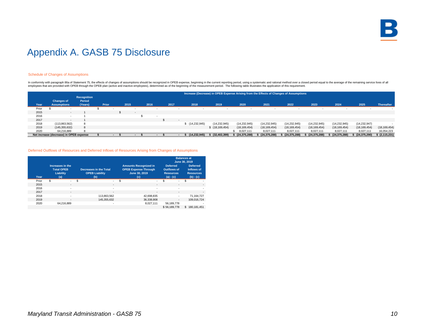

#### Schedule of Changes of Assumptions

In conformity with paragraph 86a of Statement 75, the effects of changes of assumptions should be recognized in OPEB expense, beginning in the current reporting period, using a systematic and rational method over a closed employees that are provided with OPEB through the OPEB plan (active and inactive employees), determined as of the beginning of the measurement period. The following table illustrates the application of this requirement.

|       |                                         |                                         |       | Increase (Decrease) in OPEB Expense Arising from the Effects of Changes of Assumptions |                          |                          |      |  |                |                  |                   |                |                |                |                |                |                   |
|-------|-----------------------------------------|-----------------------------------------|-------|----------------------------------------------------------------------------------------|--------------------------|--------------------------|------|--|----------------|------------------|-------------------|----------------|----------------|----------------|----------------|----------------|-------------------|
| Year  | <b>Changes of</b><br><b>Assumptions</b> | <b>Recognition</b><br>Period<br>(Years) | Prior | 2015                                                                                   |                          | 2016                     | 2017 |  | 2018           | 2019             | 2020              | 2021           | 2022           | 2023           | 2024           | 2025           | <b>Thereafter</b> |
| Prior |                                         |                                         |       |                                                                                        |                          |                          |      |  |                |                  |                   |                |                |                |                |                |                   |
| 2015  |                                         |                                         |       |                                                                                        | $\overline{\phantom{a}}$ |                          |      |  |                |                  |                   |                |                |                |                |                |                   |
| 2016  |                                         |                                         |       |                                                                                        |                          | $\overline{\phantom{a}}$ |      |  |                |                  |                   |                |                |                |                |                |                   |
| 2017  |                                         |                                         |       |                                                                                        |                          |                          |      |  |                |                  |                   |                |                |                |                |                |                   |
| 2018  | (113,863,562)                           |                                         |       |                                                                                        |                          |                          |      |  | \$(14,232,945) | (14, 232, 945)   | (14, 232, 945)    | (14, 232, 945) | (14, 232, 945) | (14, 232, 945) | (14, 232, 945) | (14, 232, 947) |                   |
| 2019  | (145, 355, 632)                         |                                         |       |                                                                                        |                          |                          |      |  |                | \$(18, 169, 454) | (18, 169, 454)    | (18, 169, 454) | (18, 169, 454) | (18, 169, 454) | (18, 169, 454) | (18, 169, 454) | (18, 169, 454)    |
| 2020  | 64.216.889                              |                                         |       |                                                                                        |                          |                          |      |  |                |                  | 8.027.111         | 8,027,111      | 8,027,111      | 8,027,111      | 8.027.111      | 8,027,111      | 16,054,223        |
|       | Net increase (decrease) in OPEB expense |                                         |       |                                                                                        | $\overline{\phantom{a}}$ | $\blacksquare$           |      |  | (14, 232, 945) | (32, 402, 399)   | \$ (24, 375, 288) | (24, 375, 288) | (24, 375, 288) | (24, 375, 288) | (24, 375, 288) | (24, 375, 290) | \$ (2, 115, 231)  |

#### Deferred Outflows of Resources and Deferred Inflows of Resources Arising from Changes of Assumptions

| Year  | Increases in the<br><b>Total OPEB</b><br>Liability<br>(a) | <b>Decreases in the Total</b><br><b>OPEB Liability</b><br>(b) |   | <b>Amounts Recognized in</b><br><b>OPEB Expense Through</b><br>June 30, 2019<br>(c) | <b>Deferred</b><br><b>Outflows of</b><br><b>Resources</b><br>$(a) - (c)$ | <b>Balances at</b><br>June 30, 2019<br><b>Deferred</b><br>Inflows of<br><b>Resources</b><br>$(b) - (c)$ |
|-------|-----------------------------------------------------------|---------------------------------------------------------------|---|-------------------------------------------------------------------------------------|--------------------------------------------------------------------------|---------------------------------------------------------------------------------------------------------|
| Prior | \$<br>$\sim$                                              | \$                                                            | S | ۰.                                                                                  | \$<br>۰.                                                                 | \$<br>٠                                                                                                 |
| 2015  | ٠                                                         |                                                               |   | $\overline{\phantom{a}}$                                                            | ۰                                                                        |                                                                                                         |
| 2016  | $\sim$                                                    | ۰.                                                            |   |                                                                                     | ٠                                                                        | ۰                                                                                                       |
| 2017  | $\sim$                                                    |                                                               |   | $\overline{\phantom{a}}$                                                            | $\overline{\phantom{a}}$                                                 | $\overline{\phantom{a}}$                                                                                |
| 2018  | ٠                                                         | 113,863,562                                                   |   | 42.698.835                                                                          | ۰.                                                                       | 71,164,727                                                                                              |
| 2019  | $\overline{\phantom{a}}$                                  | 145.355.632                                                   |   | 36.338.908                                                                          | $\overline{\phantom{a}}$                                                 | 109.016.724                                                                                             |
| 2020  | 64.216.889                                                | ۰                                                             |   | 8,027,111                                                                           | 56,189,778                                                               |                                                                                                         |
|       |                                                           |                                                               |   |                                                                                     | \$56,189,778                                                             | 180.181.451<br>\$                                                                                       |